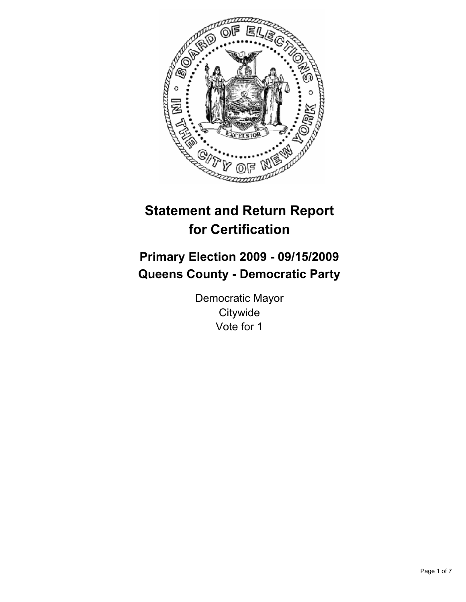

# **Statement and Return Report for Certification**

# **Primary Election 2009 - 09/15/2009 Queens County - Democratic Party**

Democratic Mayor **Citywide** Vote for 1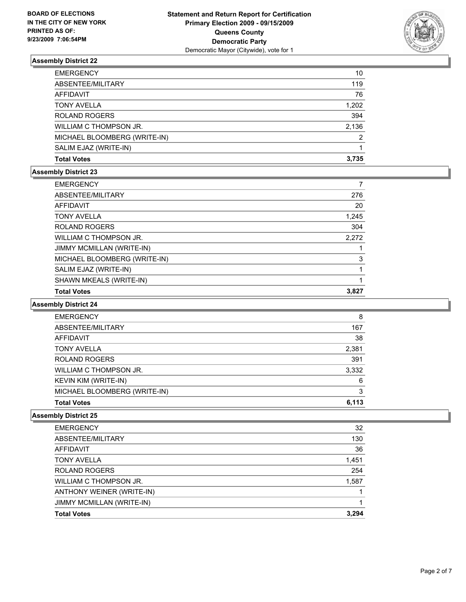

| <b>EMERGENCY</b>             | 10            |
|------------------------------|---------------|
| ABSENTEE/MILITARY            | 119           |
| AFFIDAVIT                    | 76            |
| <b>TONY AVELLA</b>           | 1,202         |
| <b>ROLAND ROGERS</b>         | 394           |
| WILLIAM C THOMPSON JR.       | 2,136         |
| MICHAEL BLOOMBERG (WRITE-IN) | $\mathcal{P}$ |
| SALIM EJAZ (WRITE-IN)        |               |
| <b>Total Votes</b>           | 3.735         |

#### **Assembly District 23**

| <b>EMERGENCY</b>             |       |
|------------------------------|-------|
| ABSENTEE/MILITARY            | 276   |
| <b>AFFIDAVIT</b>             | 20    |
| <b>TONY AVELLA</b>           | 1,245 |
| <b>ROLAND ROGERS</b>         | 304   |
| WILLIAM C THOMPSON JR.       | 2,272 |
| JIMMY MCMILLAN (WRITE-IN)    |       |
| MICHAEL BLOOMBERG (WRITE-IN) | 3     |
| SALIM EJAZ (WRITE-IN)        |       |
| SHAWN MKEALS (WRITE-IN)      |       |
| <b>Total Votes</b>           | 3,827 |

#### **Assembly District 24**

| <b>EMERGENCY</b>             | 8     |
|------------------------------|-------|
| ABSENTEE/MILITARY            | 167   |
| AFFIDAVIT                    | 38    |
| <b>TONY AVELLA</b>           | 2,381 |
| <b>ROLAND ROGERS</b>         | 391   |
| WILLIAM C THOMPSON JR.       | 3,332 |
| KEVIN KIM (WRITE-IN)         | 6     |
| MICHAEL BLOOMBERG (WRITE-IN) | 3     |
| <b>Total Votes</b>           | 6.113 |

| <b>Total Votes</b>        | 3.294 |
|---------------------------|-------|
| JIMMY MCMILLAN (WRITE-IN) |       |
| ANTHONY WEINER (WRITE-IN) |       |
| WILLIAM C THOMPSON JR.    | 1,587 |
| <b>ROLAND ROGERS</b>      | 254   |
| <b>TONY AVELLA</b>        | 1,451 |
| AFFIDAVIT                 | 36    |
| ABSENTEE/MILITARY         | 130   |
| <b>EMERGENCY</b>          | 32    |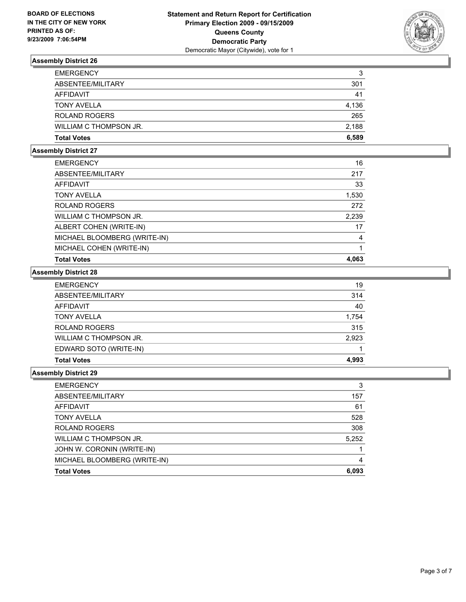

| <b>EMERGENCY</b>       | 3     |
|------------------------|-------|
| ABSENTEE/MILITARY      | 301   |
| AFFIDAVIT              | 41    |
| <b>TONY AVELLA</b>     | 4.136 |
| <b>ROLAND ROGERS</b>   | 265   |
| WILLIAM C THOMPSON JR. | 2,188 |
| <b>Total Votes</b>     | 6.589 |

#### **Assembly District 27**

| <b>EMERGENCY</b>             | 16    |
|------------------------------|-------|
| ABSENTEE/MILITARY            | 217   |
| AFFIDAVIT                    | 33    |
| <b>TONY AVELLA</b>           | 1,530 |
| <b>ROLAND ROGERS</b>         | 272   |
| WILLIAM C THOMPSON JR.       | 2,239 |
| ALBERT COHEN (WRITE-IN)      | 17    |
| MICHAEL BLOOMBERG (WRITE-IN) | 4     |
| MICHAEL COHEN (WRITE-IN)     |       |
| <b>Total Votes</b>           | 4.063 |

# **Assembly District 28**

| <b>Total Votes</b>     | 4,993 |
|------------------------|-------|
| EDWARD SOTO (WRITE-IN) |       |
| WILLIAM C THOMPSON JR. | 2,923 |
| <b>ROLAND ROGERS</b>   | 315   |
| <b>TONY AVELLA</b>     | 1,754 |
| <b>AFFIDAVIT</b>       | 40    |
| ABSENTEE/MILITARY      | 314   |
| <b>EMERGENCY</b>       | 19    |

| <b>EMERGENCY</b>             | 3     |
|------------------------------|-------|
| ABSENTEE/MILITARY            | 157   |
| AFFIDAVIT                    | 61    |
| <b>TONY AVELLA</b>           | 528   |
| <b>ROLAND ROGERS</b>         | 308   |
| WILLIAM C THOMPSON JR.       | 5,252 |
| JOHN W. CORONIN (WRITE-IN)   |       |
| MICHAEL BLOOMBERG (WRITE-IN) | 4     |
| <b>Total Votes</b>           | 6,093 |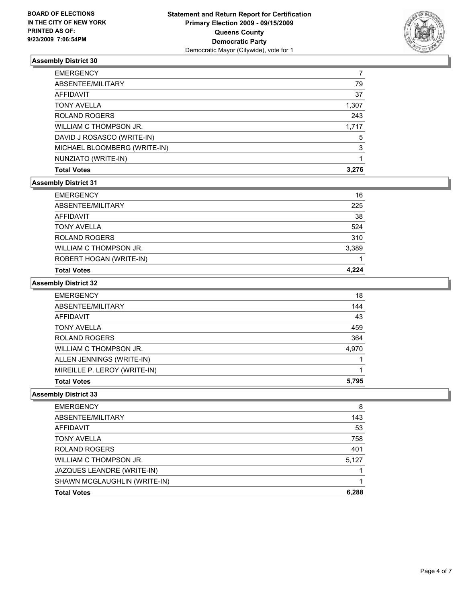

| MICHAEL BLOOMBERG (WRITE-IN) | 3     |
|------------------------------|-------|
| DAVID J ROSASCO (WRITE-IN)   | 5     |
| WILLIAM C THOMPSON JR.       | 1.717 |
| <b>ROLAND ROGERS</b>         | 243   |
| <b>TONY AVELLA</b>           | 1,307 |
| AFFIDAVIT                    | 37    |
| ABSENTEE/MILITARY            | 79    |
| <b>EMERGENCY</b>             |       |

### **Assembly District 31**

| <b>EMERGENCY</b>        | 16    |
|-------------------------|-------|
| ABSENTEE/MILITARY       | 225   |
| AFFIDAVIT               | 38    |
| <b>TONY AVELLA</b>      | 524   |
| <b>ROLAND ROGERS</b>    | 310   |
| WILLIAM C THOMPSON JR.  | 3,389 |
| ROBERT HOGAN (WRITE-IN) |       |
| <b>Total Votes</b>      | 4.224 |

# **Assembly District 32**

| <b>EMERGENCY</b>             | 18    |
|------------------------------|-------|
| ABSENTEE/MILITARY            | 144   |
| AFFIDAVIT                    | 43    |
| <b>TONY AVELLA</b>           | 459   |
| <b>ROLAND ROGERS</b>         | 364   |
| WILLIAM C THOMPSON JR.       | 4.970 |
| ALLEN JENNINGS (WRITE-IN)    |       |
| MIREILLE P. LEROY (WRITE-IN) |       |
| <b>Total Votes</b>           | 5.795 |

| <b>EMERGENCY</b>             | 8     |
|------------------------------|-------|
| ABSENTEE/MILITARY            | 143   |
| <b>AFFIDAVIT</b>             | 53    |
| <b>TONY AVELLA</b>           | 758   |
| <b>ROLAND ROGERS</b>         | 401   |
| WILLIAM C THOMPSON JR.       | 5.127 |
| JAZQUES LEANDRE (WRITE-IN)   |       |
| SHAWN MCGLAUGHLIN (WRITE-IN) |       |
| <b>Total Votes</b>           | 6.288 |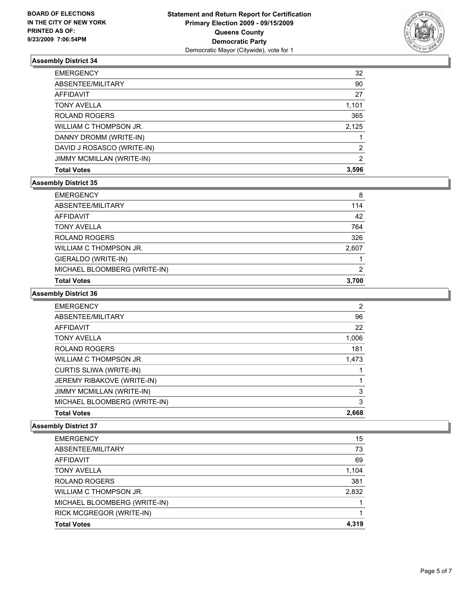

| <b>Total Votes</b>         | 3,596          |
|----------------------------|----------------|
| JIMMY MCMILLAN (WRITE-IN)  | $\overline{2}$ |
| DAVID J ROSASCO (WRITE-IN) | 2              |
| DANNY DROMM (WRITE-IN)     |                |
| WILLIAM C THOMPSON JR.     | 2,125          |
| <b>ROLAND ROGERS</b>       | 365            |
| <b>TONY AVELLA</b>         | 1,101          |
| AFFIDAVIT                  | 27             |
| ABSENTEE/MILITARY          | 90             |
| <b>EMERGENCY</b>           | 32             |

### **Assembly District 35**

| <b>Total Votes</b>           | 3.700 |
|------------------------------|-------|
| MICHAEL BLOOMBERG (WRITE-IN) | 2     |
| GIERALDO (WRITE-IN)          |       |
| WILLIAM C THOMPSON JR.       | 2,607 |
| <b>ROLAND ROGERS</b>         | 326   |
| <b>TONY AVELLA</b>           | 764   |
| <b>AFFIDAVIT</b>             | 42    |
| ABSENTEE/MILITARY            | 114   |
| <b>EMERGENCY</b>             | 8     |

### **Assembly District 36**

| MICHAEL BLOOMBERG (WRITE-IN)   | 3     |
|--------------------------------|-------|
| JIMMY MCMILLAN (WRITE-IN)      | 3     |
| JEREMY RIBAKOVE (WRITE-IN)     |       |
| <b>CURTIS SLIWA (WRITE-IN)</b> |       |
| WILLIAM C THOMPSON JR.         | 1,473 |
| <b>ROLAND ROGERS</b>           | 181   |
| <b>TONY AVELLA</b>             | 1,006 |
| <b>AFFIDAVIT</b>               | 22    |
| ABSENTEE/MILITARY              | 96    |
| <b>EMERGENCY</b>               | 2     |

| <b>Total Votes</b>           | 4.319 |
|------------------------------|-------|
| RICK MCGREGOR (WRITE-IN)     |       |
| MICHAEL BLOOMBERG (WRITE-IN) |       |
| WILLIAM C THOMPSON JR.       | 2,832 |
| <b>ROLAND ROGERS</b>         | 381   |
| <b>TONY AVELLA</b>           | 1,104 |
| AFFIDAVIT                    | 69    |
| ABSENTEE/MILITARY            | 73    |
| <b>EMERGENCY</b>             | 15    |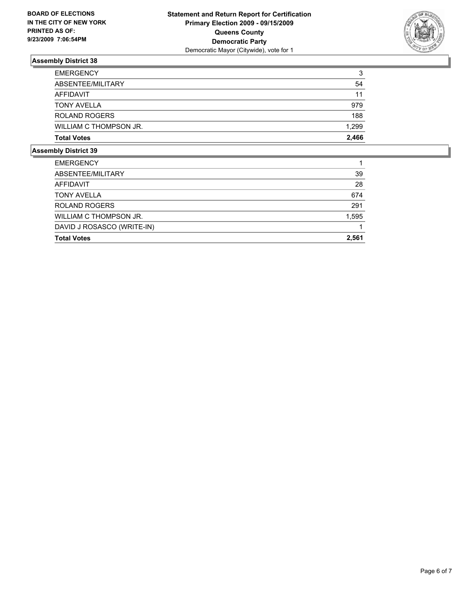

| <b>EMERGENCY</b>       | 3     |
|------------------------|-------|
| ABSENTEE/MILITARY      | 54    |
| AFFIDAVIT              | 11    |
| <b>TONY AVELLA</b>     | 979   |
| <b>ROLAND ROGERS</b>   | 188   |
| WILLIAM C THOMPSON JR. | 1,299 |
| <b>Total Votes</b>     | 2.466 |

| <b>EMERGENCY</b>           |       |
|----------------------------|-------|
| ABSENTEE/MILITARY          | 39    |
| AFFIDAVIT                  | 28    |
| <b>TONY AVELLA</b>         | 674   |
| <b>ROLAND ROGERS</b>       | 291   |
| WILLIAM C THOMPSON JR.     | 1,595 |
| DAVID J ROSASCO (WRITE-IN) |       |
| <b>Total Votes</b>         | 2.561 |